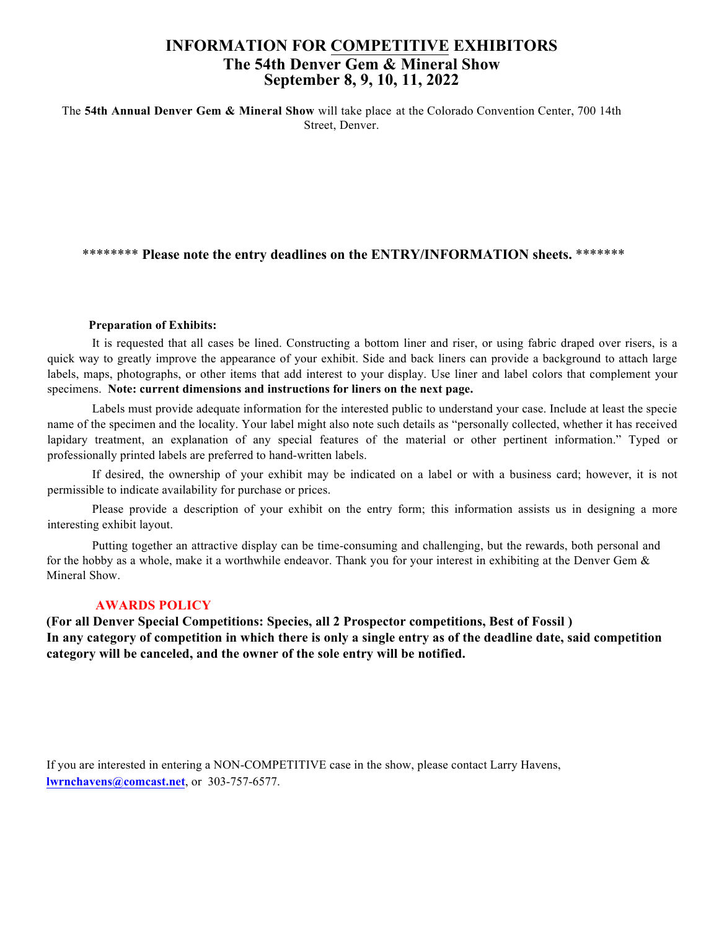## **INFORMATION FOR COMPETITIVE EXHIBITORS The 54th Denver Gem & Mineral Show September 8, 9, 10, 11, 2022**

The **54th Annual Denver Gem & Mineral Show** will take place at the Colorado Convention Center, 700 14th Street, Denver.

**"Collecting Colorado" is the 2020 Show Theme.** We hope to have many spectacular exhibits from both institutions and individual collectors that reflect the treasures of Colorado's mineral/fossil and agate world

For the **2020** show, only these competitive options will be offered: **Adult and Junior Prospector, Species ans Best of Fossil. A "Best of Show" award is being considered to recognize the best exhibit of fine specimens.**

\*\*\*\*\*\*\*\* **Please note the entry deadlines on the ENTRY/INFORMATION sheets.** \*\*\*\*\*\*\*

**AWARDS POLICY:** In any category of competition in which there is only a single entry as **of the deadline date, said competition category will be canceled, and the owner of the sole entry will be notified.**

**For the Adult and Junior Prospector, Species, and Best of Fossil exhibit cases, the show committee will line the cases. You need only bring your entry(ies) to be placed in the appropriate case. With specimens that display better on some kind of mount, please be sure the specimen will be stable and firmly affixed to the mount.**

Labels should provide adequate information for the interested public to understand your case. Include at least the specie name of the specimen and the locality. Typed or professionally printed labels are preferred to hand-written labels.

Please provide a description of your specimens on the entry form; this information assists us in designing a more interesting exhibit layout.

**(**

If you are interested in entering a NON-COMPETITIVE case in the show, please contact Larry Havens, **lwrnchavens@comcast.net**, or 303-757-6577.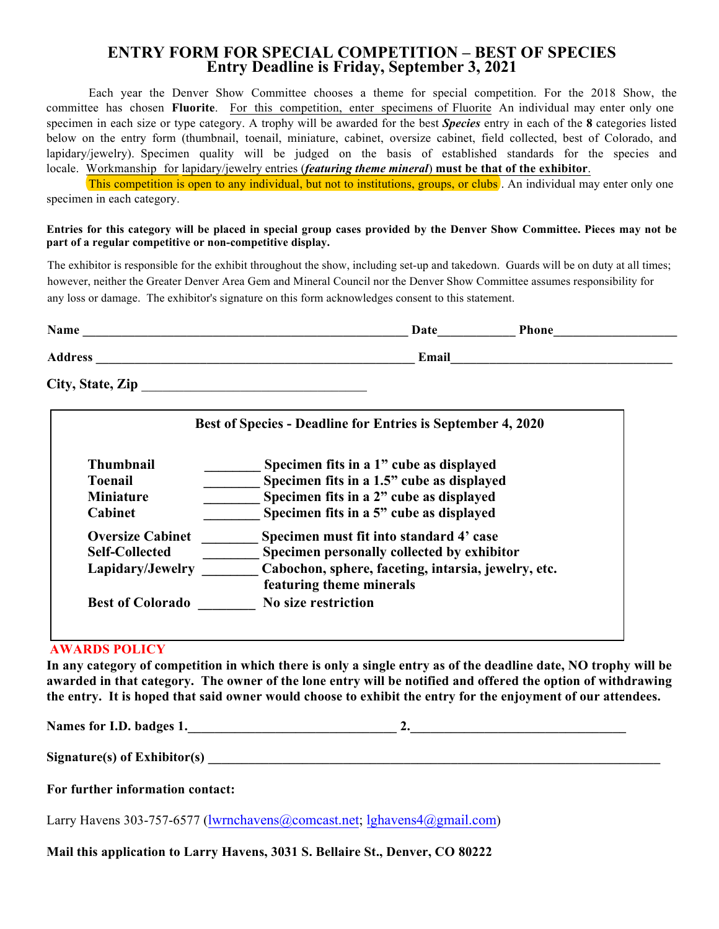### **ENTRY FORM FOR SPECIAL COMPETITION – BEST OF SPECIES Entry Deadline is Friday, August 26 2022**

Each year the Denver Show Committee chooses a theme for special competition. For the 2022 Show, the committee has chosen **"Collecting Colorado"**. For this competition, enter specimens of Fluorite An individual may enter only one specimen in each size or type category. A trophy will be awarded for the best *Species* entry in each of the **8** categories listed below on the entry form (thumbnail, toenail, miniature, cabinet, oversize cabinet, field collected, best of Colorado, and lapidary/jewelry). Specimen quality will be judged on the basis of established standards for the species and locale. Workmanship for lapidary/jewelry entries (*featuring theme mineral*) **must be that of the exhibitor**.

This competition is open to any individual, but not to institutions, groups, or clubs . An individual may enter only one specimen in each category.

#### Entries for this category will be placed in special group cases provided by the Denver Show Committee. Pieces may not be **part of a regular competitive or non-competitive display.**

The exhibitor is responsible for the exhibit throughout the show, including set-up and takedown. Guards will be on duty at all times; however, neither the Greater Denver Area Gem and Mineral Council nor the Denver Show Committee assumes responsibility for any loss or damage. The exhibitor's signature on this form acknowledges consent to this statement.

| Name           | Date  | <b>Phone</b> |
|----------------|-------|--------------|
| <b>Address</b> | Email |              |

#### **City, State, Zip** \_\_\_\_\_\_\_\_\_\_\_\_\_\_\_\_\_\_\_\_\_\_\_\_\_\_\_\_\_\_\_\_

| <b>Thumbnail</b>        | Specimen fits in a 1" cube as displayed             |
|-------------------------|-----------------------------------------------------|
| <b>Toenail</b>          | Specimen fits in a 1.5" cube as displayed           |
| <b>Miniature</b>        | Specimen fits in a 2" cube as displayed             |
| <b>Cabinet</b>          | Specimen fits in a 5" cube as displayed             |
| <b>Oversize Cabinet</b> | Specimen must fit into standard 4' case             |
| <b>Self-Collected</b>   | Specimen personally collected by exhibitor          |
| Lapidary/Jewelry        | Cabochon, sphere, faceting, intarsia, jewelry, etc. |
|                         | featuring theme minerals                            |
| <b>Best of Colorado</b> | No size restriction                                 |

#### **AWARDS POLICY**

**In any category of competition in which there is only a single entry as of the deadline date, that category will be dropped from the competition. The owner of the lone specimen will be notified.**

**Names for I.D. badges 1.\_\_\_\_\_\_\_\_\_\_\_\_\_\_\_\_\_\_\_\_\_\_\_\_\_\_\_\_\_\_\_ 2.\_\_\_\_\_\_\_\_\_\_\_\_\_\_\_\_\_\_\_\_\_\_\_\_\_\_\_\_\_\_\_\_** 

**Signature(s) of Exhibitor(s) \_\_\_\_\_\_\_\_\_\_\_\_\_\_\_\_\_\_\_\_\_\_\_\_\_\_\_\_\_\_\_\_\_\_\_\_\_\_\_\_\_\_\_\_\_\_\_\_\_\_\_\_\_\_\_\_\_\_\_\_\_\_\_\_\_\_\_** 

#### **For further information contact:**

Larry Havens 303-757-6577 (lwrnchavens@comcast.net)

**E-mail this application to Larry Havens at the comcast address, or mail to 3031 S. Bellaire St., Denver, CO 80222**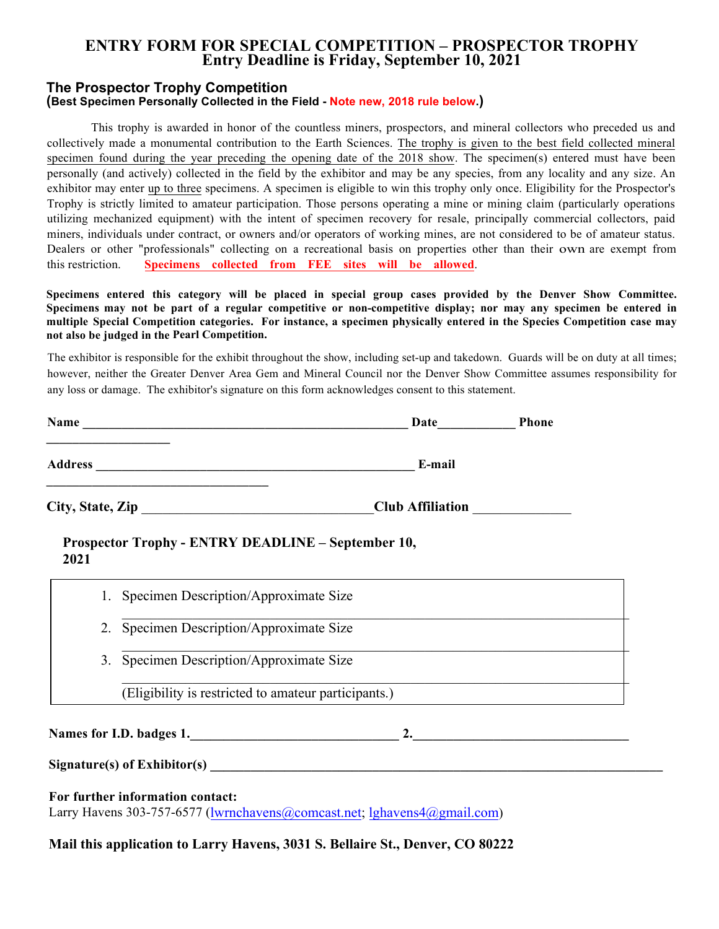## **ENTRY FORM FOR SPECIAL COMPETITION – PROSPECTOR TROPHY Entry Deadline is Friday, August 26, 2022**

#### **The Prospector Trophy Competition (Best Specimen Personally Collected in the Field)**

This trophy is awarded in honor of the countless miners, prospectors, and mineral collectors who preceded us and collectively made a monumental contribution to the Earth Sciences. The trophy is given to the best field collected mineral specimen found during the period from the end of the closing date of the 2019 show to the beginning of the 2022 show. This expended period is to compensate for Covid-19's cancellation of the competitions in 2020 and 2021.

The specimen(s) entered must have been personally (and actively) collected in the field by the exhibitor and may be any species, from any locality and any size. An exhibitor may enter up to three specimens. A specimen is eligible to win this trophy only once. Eligibility for the Prospector's Trophy is strictly limited to amateur participation. Those persons operating a mine or mining claim (particularly operations utilizing mechanized equipment) with the intent of specimen recovery for resale, principally commercial collectors, paid miners, individuals under contract, or owners and/or operators of working mines, are not considered to be of amateur status. Dealers or other "professionals" collecting on a recreational basis on properties other than their own are exempt from this restriction. **Specimens collected from FEE sites will be allowed**.

**Specimens entered this category will be placed in special group cases provided by the Denver Show Committee. Specimens may not be part of a regular competitive or non-competitive display; nor may any specimen be entered in multiple Special Competition categories. For instance, a specimen physically entered in the Species Competition case may not also be judged in the Pearl Competition.** 

The exhibitor is responsible for the exhibit throughout the show, including set-up and takedown. Guards will be on duty at all times; however, neither the Greater Denver Area Gem and Mineral Council nor the Denver Show Committee assumes responsibility for any loss or damage. The exhibitor's signature on this form acknowledges consent to this statement.

| Name             | <b>Phone</b><br>Date    |
|------------------|-------------------------|
| <b>Address</b>   | E-mail                  |
| City, State, Zip | <b>Club Affiliation</b> |

**Prospector Trophy - ENTRY DEADLINE – August 26, 2022**

| 2. | Specimen Description/Approximate Size                |
|----|------------------------------------------------------|
| 3. | Specimen Description/Approximate Size                |
|    | (Eligibility is restricted to amateur participants.) |

Signature(s) of Exhibitor(s)

**For further information contact:**  Larry Havens 303-757-6577 (lwrnchavens@comcast.net)

#### **E-mail this application to Larry Havens at the comcast address above; or mail to, 3031 S. Bellaire St., Denver, CO 80222**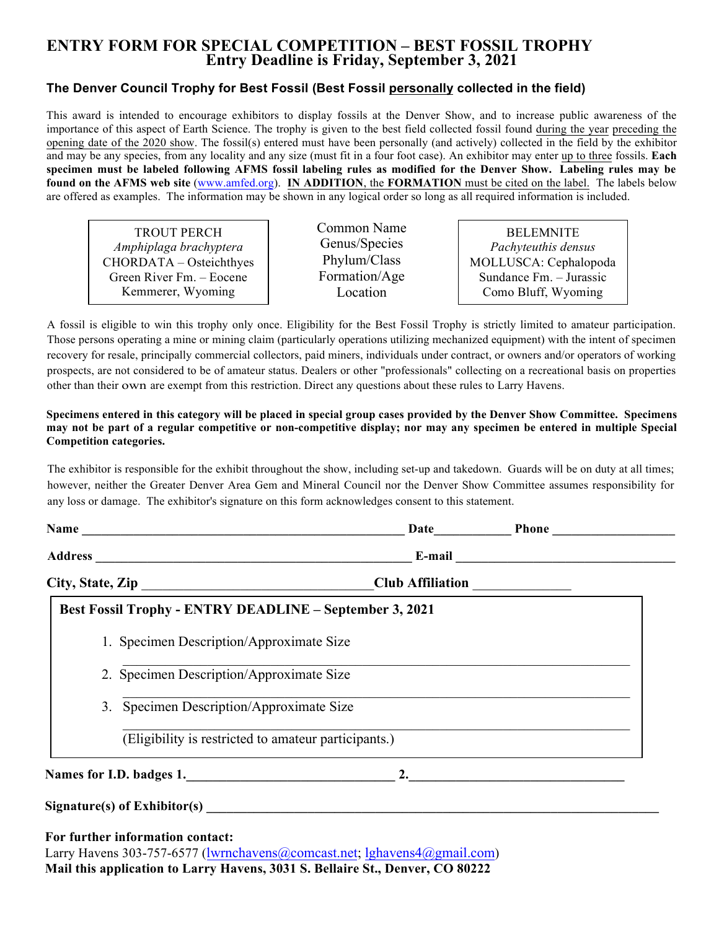# **ENTRY FORM FOR SPECIAL COMPETITION – BEST FOSSIL TROPHY Entry Deadline is Friday, August 26, 2022**

### **The Denver Council Trophy for Best Fossil (Best Fossil personally collected in the field)**

This award is intended to encourage exhibitors to display fossils at the Denver Show, and to increase public awareness of the importance of this aspect of Earth Science. The trophy is given to the best field collected fossil found during the year preceding the opening date of the 2020 show. The fossil(s) entered must have been personally (and actively) collected in the field by the exhibitor and may be any species, from any locality and any size (must fit in a four foot case). An exhibitor may enter up to three (3) fossils. Each specimen must be labeled following AFMS fossil labeling rules as modified for the Denver Show. Labeling rules **may be found on the AFMS web site** (www.amfed.org). **IN ADDITION**, the **FORMATION,** if availaable, must be cited on the label. The labels below are offered as examples. The information may be shown in any logical order so long as all required information is included.

TROUT PERCH *Amphiplaga brachyptera* CHORDATA – Osteichthyes Green River Fm. – Eocene Kemmerer, Wyoming

Common Name Genus/Species Phylum/Class Formation/Age Location

BELEMNITE *Pachyteuthis densus* MOLLUSCA: Cephalopoda Sundance Fm. – Jurassic Como Bluff, Wyoming

A fossil is eligible to win this trophy only once. Eligibility for the Best Fossil Trophy is strictly limited to amateur participation. Those persons operating a mine or mining claim (particularly operations utilizing mechanized equipment) with the intent of specimen recovery for resale, principally commercial collectors, paid miners, individuals under contract, or owners and/or operators of working prospects, are not considered to be of amateur status. Dealers or other "professionals" collecting on a recreational basis on properties other than their own are exempt from this restriction. Direct any questions about these rules to Larry Havens.

**Specimens entered in this category will be placed in special group cases provided by the Denver Show Committee. Specimens may not be part of a regular competitive or non-competitive display; nor may any specimen be entered in multiple Special Competition categories.** 

The exhibitor is responsible for the exhibit throughout the show, including set-up and takedown. Guards will be on duty at all times; however, neither the Greater Denver Area Gem and Mineral Council nor the Denver Show Committee assumes responsibility for any loss or damage. The exhibitor's signature on this form acknowledges consent to this statement.

|    | City, State, Zip                                                                                 | Club Affiliation ______________                                                   |  |
|----|--------------------------------------------------------------------------------------------------|-----------------------------------------------------------------------------------|--|
|    | <b>Best Fossil Trophy - ENTRY DEADLINE - August 26, 2022</b>                                     |                                                                                   |  |
|    | 1. Specimen Description/Approximate Size                                                         |                                                                                   |  |
|    | 2. Specimen Description/Approximate Size                                                         |                                                                                   |  |
| 3. | Specimen Description/Approximate Size                                                            |                                                                                   |  |
|    | (Eligibility is restricted to amateur participants.)                                             |                                                                                   |  |
|    |                                                                                                  |                                                                                   |  |
|    |                                                                                                  | $Signature(s)$ of Exhibitor(s) $\qquad \qquad$                                    |  |
|    | For further information contact:<br>Larry Havens 303-757-6577 ( <i>lwrnchavens@comcast.net</i> ) | р сейды. Сарандар астронот с села до села са станција на села и да доде ратни сод |  |

E-**mail this application to Larry Havens at the comcast address above, or mail to 3031 S. Bellaire St., Denver, CO 80222**